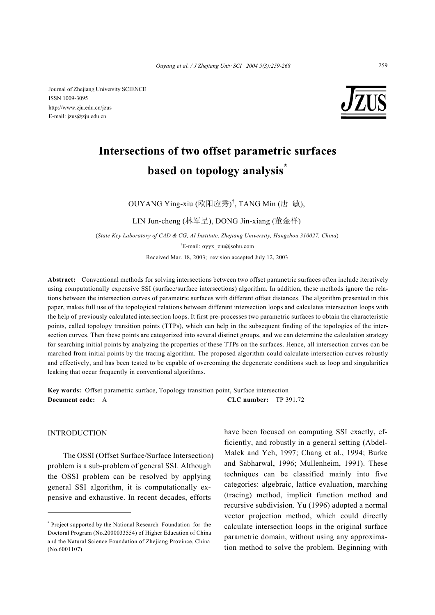Journal of Zhejiang University SCIENCE ISSN 1009-3095 http://www.zju.edu.cn/jzus E-mail: jzus@zju.edu.cn



# **Intersections of two offset parametric surfaces based on topology analysis\***

OUYANG Ying-xiu (欧阳应秀) † , TANG Min (唐 敏),

LIN Jun-cheng (林军呈), DONG Jin-xiang (董金祥)

(*State Key Laboratory of CAD & CG, AI Institute, Zhejiang University, Hangzhou 310027, China*) † E-mail: oyyx\_zju@sohu.com Received Mar. 18, 2003; revision accepted July 12, 2003

**Abstract:** Conventional methods for solving intersections between two offset parametric surfaces often include iteratively using computationally expensive SSI (surface/surface intersections) algorithm. In addition, these methods ignore the relations between the intersection curves of parametric surfaces with different offset distances. The algorithm presented in this paper, makes full use of the topological relations between different intersection loops and calculates intersection loops with the help of previously calculated intersection loops. It first pre-processes two parametric surfaces to obtain the characteristic points, called topology transition points (TTPs), which can help in the subsequent finding of the topologies of the intersection curves. Then these points are categorized into several distinct groups, and we can determine the calculation strategy for searching initial points by analyzing the properties of these TTPs on the surfaces. Hence, all intersection curves can be marched from initial points by the tracing algorithm. The proposed algorithm could calculate intersection curves robustly and effectively, and has been tested to be capable of overcoming the degenerate conditions such as loop and singularities leaking that occur frequently in conventional algorithms.

**Key words:** Offset parametric surface, Topology transition point, Surface intersection **Document code:** A **CLC number:** TP 391.72

#### INTRODUCTION

The OSSI (Offset Surface/Surface Intersection) problem is a sub-problem of general SSI. Although the OSSI problem can be resolved by applying general SSI algorithm, it is computationally expensive and exhaustive. In recent decades, efforts

have been focused on computing SSI exactly, efficiently, and robustly in a general setting (Abdel-Malek and Yeh, 1997; Chang et al., 1994; Burke and Sabharwal, 1996; Mullenheim, 1991). These techniques can be classified mainly into five categories: algebraic, lattice evaluation, marching (tracing) method, implicit function method and recursive subdivision. Yu (1996) adopted a normal vector projection method, which could directly calculate intersection loops in the original surface parametric domain, without using any approximation method to solve the problem. Beginning with

<sup>\*</sup> Project supported by the National Research Foundation for the Doctoral Program (No.2000033554) of Higher Education of China and the Natural Science Foundation of Zhejiang Province, China (No.6001107)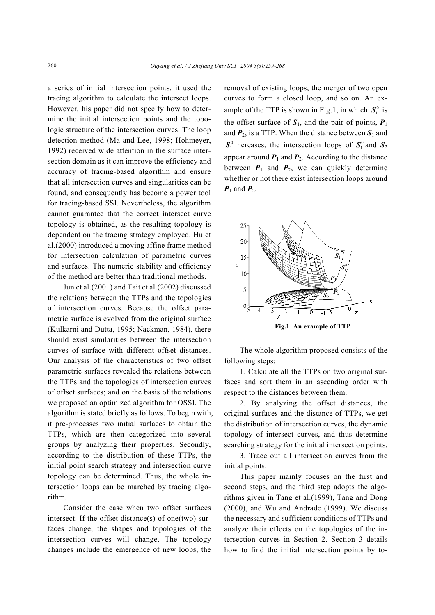a series of initial intersection points, it used the tracing algorithm to calculate the intersect loops. However, his paper did not specify how to determine the initial intersection points and the topologic structure of the intersection curves. The loop detection method (Ma and Lee, 1998; Hohmeyer, 1992) received wide attention in the surface intersection domain as it can improve the efficiency and accuracy of tracing-based algorithm and ensure that all intersection curves and singularities can be found, and consequently has become a power tool for tracing-based SSI. Nevertheless, the algorithm cannot guarantee that the correct intersect curve topology is obtained, as the resulting topology is dependent on the tracing strategy employed. Hu et al.(2000) introduced a moving affine frame method for intersection calculation of parametric curves and surfaces. The numeric stability and efficiency of the method are better than traditional methods.

Jun et al.(2001) and Tait et al.(2002) discussed the relations between the TTPs and the topologies of intersection curves. Because the offset parametric surface is evolved from the original surface (Kulkarni and Dutta, 1995; Nackman, 1984), there should exist similarities between the intersection curves of surface with different offset distances. Our analysis of the characteristics of two offset parametric surfaces revealed the relations between the TTPs and the topologies of intersection curves of offset surfaces; and on the basis of the relations we proposed an optimized algorithm for OSSI. The algorithm is stated briefly as follows. To begin with, it pre-processes two initial surfaces to obtain the TTPs, which are then categorized into several groups by analyzing their properties. Secondly, according to the distribution of these TTPs, the initial point search strategy and intersection curve topology can be determined. Thus, the whole intersection loops can be marched by tracing algorithm.

Consider the case when two offset surfaces intersect. If the offset distance(s) of one(two) surfaces change, the shapes and topologies of the intersection curves will change. The topology changes include the emergence of new loops, the removal of existing loops, the merger of two open curves to form a closed loop, and so on. An example of the TTP is shown in Fig.1, in which  $S_1^0$  is the offset surface of  $S_1$ , and the pair of points,  $P_1$ and  $P_2$ , is a TTP. When the distance between  $S_1$  and  $S_1^0$  increases, the intersection loops of  $S_1^0$  and  $S_2$ appear around  $P_1$  and  $P_2$ . According to the distance between  $P_1$  and  $P_2$ , we can quickly determine whether or not there exist intersection loops around  $P_1$  and  $P_2$ .



The whole algorithm proposed consists of the following steps:

1. Calculate all the TTPs on two original surfaces and sort them in an ascending order with respect to the distances between them.

2. By analyzing the offset distances, the original surfaces and the distance of TTPs, we get the distribution of intersection curves, the dynamic topology of intersect curves, and thus determine searching strategy for the initial intersection points.

3. Trace out all intersection curves from the initial points.

This paper mainly focuses on the first and second steps, and the third step adopts the algorithms given in Tang et al.(1999), Tang and Dong (2000), and Wu and Andrade (1999). We discuss the necessary and sufficient conditions of TTPs and analyze their effects on the topologies of the intersection curves in Section 2. Section 3 details how to find the initial intersection points by to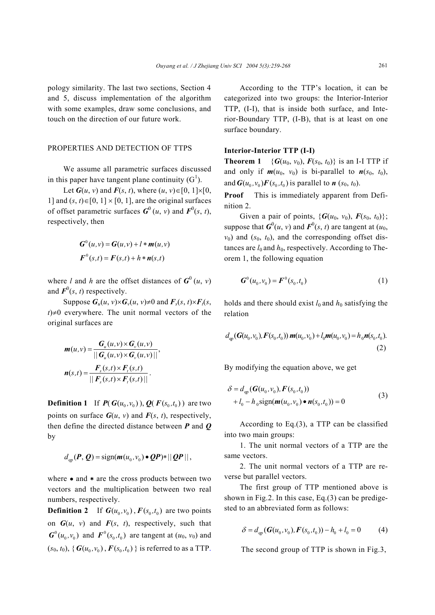pology similarity. The last two sections, Section 4 and 5, discuss implementation of the algorithm with some examples, draw some conclusions, and touch on the direction of our future work.

## PROPERTIES AND DETECTION OF TTPS

We assume all parametric surfaces discussed in this paper have tangent plane continuity  $(G<sup>1</sup>)$ .

Let  $G(u, v)$  and  $F(s, t)$ , where  $(u, v) \in [0, 1] \times [0, 1]$ 1] and  $(s, t) \in [0, 1] \times [0, 1]$ , are the original surfaces of offset parametric surfaces  $G^0(u, v)$  and  $F^0(s, t)$ , respectively, then

$$
G^{0}(u, v) = G(u, v) + l * m(u, v)
$$
  

$$
F^{0}(s,t) = F(s,t) + h * n(s,t)
$$

where *l* and *h* are the offset distances of  $\mathbf{G}^0(u, v)$ and  $\mathbf{F}^0(s, t)$  respectively.

Suppose  $G_u(u, v) \times G_v(u, v) \neq 0$  and  $F_s(s, t) \times F_t(s, v)$  $t \neq 0$  everywhere. The unit normal vectors of the original surfaces are

$$
\mathbf{m}(u,v) = \frac{\mathbf{G}_u(u,v) \times \mathbf{G}_v(u,v)}{\left| \left| \mathbf{G}_u(u,v) \times \mathbf{G}_v(u,v) \right| \right|},
$$

$$
\mathbf{n}(s,t) = \frac{\mathbf{F}_s(s,t) \times \mathbf{F}_t(s,t)}{\left| \left| \mathbf{F}_s(s,t) \times \mathbf{F}_t(s,t) \right| \right|}.
$$

**Definition 1** If  $P(G(u_0, v_0)), Q(F(s_0, t_0))$  are two points on surface  $G(u, v)$  and  $F(s, t)$ , respectively, then define the directed distance between *P* and *Q* by

$$
d_{\rm qp}(P,Q)=\mathrm{sign}(m(u_{\rm 0},v_{\rm 0})\bullet QP)*||QP||,
$$

where • and ∗ are the cross products between two vectors and the multiplication between two real numbers, respectively.

**Definition 2** If  $G(u_0, v_0)$ ,  $F(s_0, t_0)$  are two points on  $G(u, v)$  and  $F(s, t)$ , respectively, such that  $G^{0}(u_{0}, v_{0})$  and  $F^{0}(s_{0}, t_{0})$  are tangent at  $(u_{0}, v_{0})$  and  $(s_0, t_0), \{ G(u_0, v_0), F(s_0, t_0) \}$  is referred to as a TTP.

According to the TTP's location, it can be categorized into two groups: the Interior-Interior TTP, (I-I), that is inside both surface, and Interior-Boundary TTP, (I-B), that is at least on one surface boundary.

#### **Interior-Interior TTP (I-I)**

**Theorem 1** { $G(u_0, v_0)$ ,  $F(s_0, t_0)$ } is an I-I TTP if and only if  $m(u_0, v_0)$  is bi-parallel to  $n(s_0, t_0)$ , and  $G(u_0, v_0)F(s_0, t_0)$  is parallel to *n* (*s*<sub>0</sub>, *t*<sub>0</sub>).

**Proof** This is immediately apparent from Definition 2.

Given a pair of points,  ${G(u_0, v_0), F(s_0, t_0)}$ ; suppose that  $G^0(u, v)$  and  $F^0(s, t)$  are tangent at  $(u_0, t)$  $v_0$ ) and ( $s_0$ ,  $t_0$ ), and the corresponding offset distances are  $l_0$  and  $h_0$ , respectively. According to Theorem 1, the following equation

$$
G^{0}(u_{0}, v_{0}) = F^{0}(s_{0}, t_{0})
$$
\n(1)

holds and there should exist  $l_0$  and  $h_0$  satisfying the relation

$$
d_{\text{qp}}(\textbf{G}(u_0, v_0), \textbf{F}(s_0, t_0)) \textbf{m}(u_0, v_0) + l_0 \textbf{m}(u_0, v_0) = h_0 \textbf{n}(s_0, t_0).
$$
\n(2)

By modifying the equation above, we get

$$
\delta = d_{\rm qp}(\mathbf{G}(u_0, v_0), \mathbf{F}(s_0, t_0)) + l_0 - h_0 \text{sign}(\mathbf{m}(u_0, v_0) \bullet \mathbf{n}(s_0, t_0)) = 0
$$
\n(3)

According to Eq.(3), a TTP can be classified into two main groups:

1. The unit normal vectors of a TTP are the same vectors.

2. The unit normal vectors of a TTP are reverse but parallel vectors.

The first group of TTP mentioned above is shown in Fig.2. In this case, Eq.(3) can be predigested to an abbreviated form as follows:

$$
\delta = d_{\rm qp}(\mathbf{G}(u_0, v_0), \mathbf{F}(s_0, t_0)) - h_0 + l_0 = 0 \tag{4}
$$

The second group of TTP is shown in Fig.3,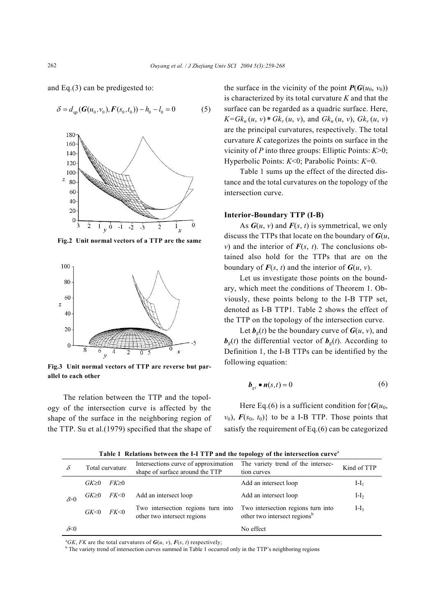and Eq.(3) can be predigested to:

$$
\delta = d_{\rm qp}(\mathbf{G}(u_0, v_0), \mathbf{F}(s_0, t_0)) - h_0 - l_0 = 0 \tag{5}
$$



**Fig.2 Unit normal vectors of a TTP are the same**



**Fig.3 Unit normal vectors of TTP are reverse but parallel to each other**

The relation between the TTP and the topology of the intersection curve is affected by the shape of the surface in the neighboring region of the TTP. Su et al.(1979) specified that the shape of the surface in the vicinity of the point  $P(G(u_0, v_0))$ is characterized by its total curvature *K* and that the surface can be regarded as a quadric surface. Here,  $K = Gk_u(u, v) * Gk_v(u, v)$ , and  $Gk_u(u, v)$ ,  $Gk_v(u, v)$ are the principal curvatures, respectively. The total curvature *K* categorizes the points on surface in the vicinity of *P* into three groups: Elliptic Points: *K*>0; Hyperbolic Points: *K*<0; Parabolic Points: *K*=0.

Table 1 sums up the effect of the directed distance and the total curvatures on the topology of the intersection curve.

### **Interior-Boundary TTP (I-B)**

As  $G(u, v)$  and  $F(s, t)$  is symmetrical, we only discuss the TTPs that locate on the boundary of *G*(*u*, *v*) and the interior of  $F(s, t)$ . The conclusions obtained also hold for the TTPs that are on the boundary of  $F(s, t)$  and the interior of  $G(u, v)$ .

Let us investigate those points on the boundary, which meet the conditions of Theorem 1. Obviously, these points belong to the I-B TTP set, denoted as I-B TTP1. Table 2 shows the effect of the TTP on the topology of the intersection curve.

Let  $\mathbf{b}_g(t)$  be the boundary curve of  $\mathbf{G}(u, v)$ , and  $\mathbf{b}_g(t)$  the differential vector of  $\mathbf{b}_g(t)$ . According to Definition 1, the I-B TTPs can be identified by the following equation:

$$
\boldsymbol{b}_{gt} \bullet \boldsymbol{n}(s,t) = 0 \tag{6}
$$

Here Eq.(6) is a sufficient condition for  ${G}(u_0,$  $v_0$ ),  $F(s_0, t_0)$ } to be a I-B TTP. Those points that satisfy the requirement of Eq.(6) can be categorized

|                 | Table 1 Tellations between the I-I I II and the topology of the intersection car ve |             |                                                                         |                                                                                |             |  |  |  |
|-----------------|-------------------------------------------------------------------------------------|-------------|-------------------------------------------------------------------------|--------------------------------------------------------------------------------|-------------|--|--|--|
| $\delta$        | Total curvature                                                                     |             | Intersections curve of approximation<br>shape of surface around the TTP | The variety trend of the intersec-<br>tion curves                              | Kind of TTP |  |  |  |
| $\delta \geq 0$ | $GK \geq 0$                                                                         | $FK \geq 0$ |                                                                         | Add an intersect loop                                                          | $I-I_1$     |  |  |  |
|                 | $GK \geq 0$                                                                         | FK<0        | Add an intersect loop                                                   | Add an intersect loop                                                          | $I-I2$      |  |  |  |
|                 | $GK \leq 0$                                                                         | FK<0        | Two intersection regions turn into<br>other two intersect regions       | Two intersection regions turn into<br>other two intersect regions <sup>b</sup> | $I-I_3$     |  |  |  |
| &0              |                                                                                     |             |                                                                         | No effect                                                                      |             |  |  |  |

**Table 1 Relations between the I-I TTP and the topology of the intersection curve**<sup>a</sup>

<sup>a</sup>GK, *FK* are the total curvatures of  $G(u, v)$ ,  $F(s, t)$  respectively; by The vertice translation curves summed in Table 1 community

<sup>b</sup> The variety trend of intersection curves summed in Table 1 occurred only in the TTP's neighboring regions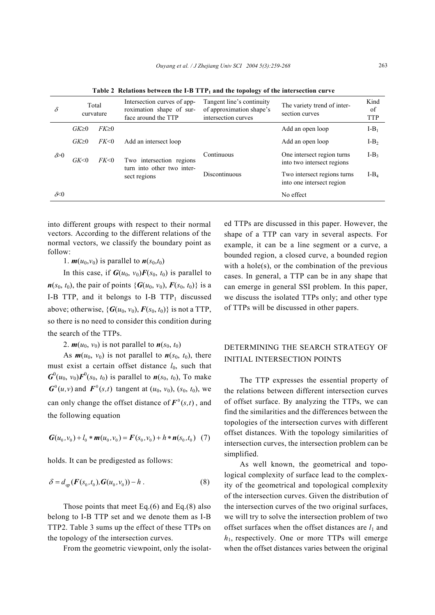| $\delta$     | Total<br>curvature                  |             | Intersection curves of app-<br>roximation shape of sur-<br>face around the TTP | Tangent line's continuity<br>of approximation shape's<br>intersection curves | The variety trend of inter-<br>section curves            | Kind<br>of<br><b>TTP</b> |
|--------------|-------------------------------------|-------------|--------------------------------------------------------------------------------|------------------------------------------------------------------------------|----------------------------------------------------------|--------------------------|
| $\delta > 0$ | $GK \geq 0$                         | $FK \geq 0$ |                                                                                |                                                                              | Add an open loop                                         | $I-B_1$                  |
|              | $GK \geq 0$                         | FK<0        | Add an intersect loop                                                          |                                                                              | Add an open loop                                         | $I-B2$                   |
|              | FK<0<br>$GK \leq 0$<br>sect regions |             | Two intersection regions<br>turn into other two inter-                         | Continuous                                                                   | One intersect region turns<br>into two intersect regions | $I-B3$                   |
|              |                                     |             | Discontinuous                                                                  | Two intersect regions turns<br>into one intersect region                     | $I-B_4$                                                  |                          |
| &0           |                                     |             |                                                                                |                                                                              | No effect                                                |                          |

**Table 2 Relations between the I-B TTP1 and the topology of the intersection curve** 

into different groups with respect to their normal vectors. According to the different relations of the normal vectors, we classify the boundary point as follow:

1.  $m(u_0, v_0)$  is parallel to  $n(s_0, t_0)$ 

In this case, if  $G(u_0, v_0)F(s_0, t_0)$  is parallel to *n*(*s*<sub>0</sub>, *t*<sub>0</sub>), the pair of points { $G(u_0, v_0)$ ,  $F(s_0, t_0)$ } is a I-B TTP, and it belongs to I-B  $TTP_1$  discussed above; otherwise,  $\{G(u_0, v_0), F(s_0, t_0)\}$  is not a TTP, so there is no need to consider this condition during the search of the TTPs.

2.  $m(u_0, v_0)$  is not parallel to  $n(s_0, t_0)$ 

As  $m(u_0, v_0)$  is not parallel to  $n(s_0, t_0)$ , there must exist a certain offset distance  $l_0$ , such that  $G^{0}(u_{0}, v_{0})F^{0}(s_{0}, t_{0})$  is parallel to  $n(s_{0}, t_{0})$ , To make  $G^{0}(u,v)$  and  $F^{0}(s,t)$  tangent at  $(u_0, v_0)$ ,  $(s_0, t_0)$ , we can only change the offset distance of  $F^{0}(s,t)$ , and the following equation

$$
G(u_0, v_0) + l_0 * m(u_0, v_0) = F(s_0, v_0) + h * n(s_0, t_0)
$$
 (7)

holds. It can be predigested as follows:

$$
\delta = d_{\rm qp}(\mathbf{F}(s_0, t_0), \mathbf{G}(u_0, v_0)) - h \,. \tag{8}
$$

Those points that meet Eq.(6) and Eq.(8) also belong to I-B TTP set and we denote them as I-B TTP2. Table 3 sums up the effect of these TTPs on the topology of the intersection curves.

From the geometric viewpoint, only the isolat-

ed TTPs are discussed in this paper. However, the shape of a TTP can vary in several aspects. For example, it can be a line segment or a curve, a bounded region, a closed curve, a bounded region with a hole(s), or the combination of the previous cases. In general, a TTP can be in any shape that can emerge in general SSI problem. In this paper, we discuss the isolated TTPs only; and other type of TTPs will be discussed in other papers.

# DETERMINING THE SEARCH STRATEGY OF INITIAL INTERSECTION POINTS

The TTP expresses the essential property of the relations between different intersection curves of offset surface. By analyzing the TTPs, we can find the similarities and the differences between the topologies of the intersection curves with different offset distances. With the topology similarities of intersection curves, the intersection problem can be simplified.

As well known, the geometrical and topological complexity of surface lead to the complexity of the geometrical and topological complexity of the intersection curves. Given the distribution of the intersection curves of the two original surfaces, we will try to solve the intersection problem of two offset surfaces when the offset distances are  $l_1$  and *h*1, respectively. One or more TTPs will emerge when the offset distances varies between the original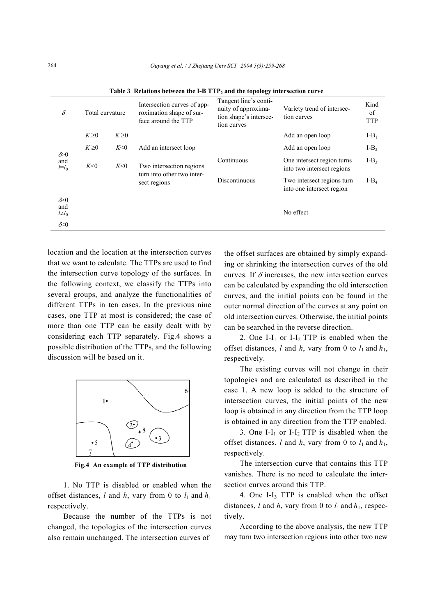| $\delta$                               | Total curvature |                                                                               | Intersection curves of app-<br>roximation shape of sur-<br>face around the TTP | Tangent line's conti-<br>nuity of approxima-<br>tion shape's intersec-<br>tion curves | Variety trend of intersec-<br>tion curves                | Kind<br>of<br><b>TTP</b> |
|----------------------------------------|-----------------|-------------------------------------------------------------------------------|--------------------------------------------------------------------------------|---------------------------------------------------------------------------------------|----------------------------------------------------------|--------------------------|
|                                        | $K \geq 0$      | $K \geq 0$                                                                    |                                                                                |                                                                                       | Add an open loop                                         | $I-B_1$                  |
|                                        | $K \geq 0$      | K<0                                                                           | Add an intersect loop                                                          |                                                                                       | Add an open loop                                         | $I-B2$                   |
| $\delta \geq 0$<br>and<br>$l=l_0$      | K<0             | K<0<br>Two intersection regions<br>turn into other two inter-<br>sect regions |                                                                                | Continuous                                                                            | One intersect region turns<br>into two intersect regions | $I-B_3$                  |
|                                        |                 |                                                                               | Discontinuous                                                                  | Two intersect regions turn<br>into one intersect region                               | $I-B_4$                                                  |                          |
| $\delta \geq 0$<br>and<br>$l \neq l_0$ |                 |                                                                               |                                                                                |                                                                                       | No effect                                                |                          |
| &0                                     |                 |                                                                               |                                                                                |                                                                                       |                                                          |                          |

Table 3 Relations between the I-B TTP<sub>2</sub> and the topology intersection curve

location and the location at the intersection curves that we want to calculate. The TTPs are used to find the intersection curve topology of the surfaces. In the following context, we classify the TTPs into several groups, and analyze the functionalities of different TTPs in ten cases. In the previous nine cases, one TTP at most is considered; the case of more than one TTP can be easily dealt with by considering each TTP separately. Fig.4 shows a possible distribution of the TTPs, and the following discussion will be based on it.



**Fig.4 An example of TTP distribution** 

1. No TTP is disabled or enabled when the offset distances, *l* and *h*, vary from 0 to  $l_1$  and  $h_1$ respectively.

Because the number of the TTPs is not changed, the topologies of the intersection curves also remain unchanged. The intersection curves of

the offset surfaces are obtained by simply expanding or shrinking the intersection curves of the old curves. If  $\delta$  increases, the new intersection curves can be calculated by expanding the old intersection curves, and the initial points can be found in the outer normal direction of the curves at any point on old intersection curves. Otherwise, the initial points can be searched in the reverse direction.

2. One I-I<sub>1</sub> or I-I<sub>2</sub> TTP is enabled when the offset distances, *l* and *h*, vary from 0 to  $l_1$  and  $h_1$ , respectively.

The existing curves will not change in their topologies and are calculated as described in the case 1. A new loop is added to the structure of intersection curves, the initial points of the new loop is obtained in any direction from the TTP loop is obtained in any direction from the TTP enabled.

3. One I-I<sub>1</sub> or I-I<sub>2</sub> TTP is disabled when the offset distances, *l* and *h*, vary from 0 to  $l_1$  and  $h_1$ , respectively.

The intersection curve that contains this TTP vanishes. There is no need to calculate the intersection curves around this TTP.

4. One I-I<sub>3</sub> TTP is enabled when the offset distances, *l* and *h*, vary from 0 to  $l_1$  and  $h_1$ , respectively.

According to the above analysis, the new TTP may turn two intersection regions into other two new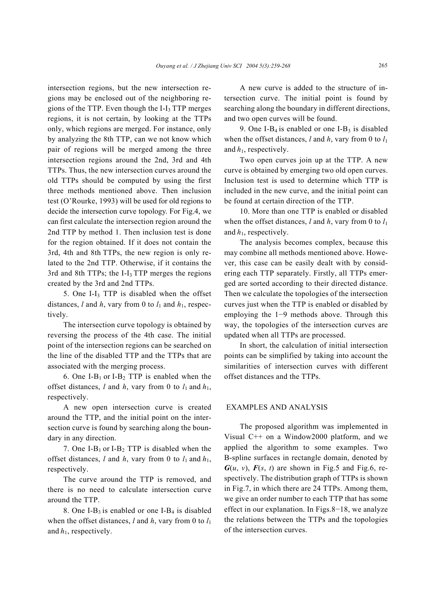intersection regions, but the new intersection regions may be enclosed out of the neighboring regions of the TTP. Even though the  $I-I<sub>3</sub> TTP$  merges regions, it is not certain, by looking at the TTPs only, which regions are merged. For instance, only by analyzing the 8th TTP, can we not know which pair of regions will be merged among the three intersection regions around the 2nd, 3rd and 4th TTPs. Thus, the new intersection curves around the old TTPs should be computed by using the first three methods mentioned above. Then inclusion test (O'Rourke, 1993) will be used for old regions to decide the intersection curve topology. For Fig.4, we can first calculate the intersection region around the 2nd TTP by method 1. Then inclusion test is done for the region obtained. If it does not contain the 3rd, 4th and 8th TTPs, the new region is only related to the 2nd TTP. Otherwise, if it contains the 3rd and 8th TTPs; the I-I<sub>3</sub> TTP merges the regions created by the 3rd and 2nd TTPs.

5. One I-I<sub>3</sub> TTP is disabled when the offset distances, *l* and *h*, vary from 0 to  $l_1$  and  $h_1$ , respectively.

The intersection curve topology is obtained by reversing the process of the 4th case. The initial point of the intersection regions can be searched on the line of the disabled TTP and the TTPs that are associated with the merging process.

6. One I-B<sub>1</sub> or I-B<sub>2</sub> TTP is enabled when the offset distances, *l* and *h*, vary from 0 to  $l_1$  and  $h_1$ , respectively.

A new open intersection curve is created around the TTP, and the initial point on the intersection curve is found by searching along the boundary in any direction.

7. One I-B<sub>1</sub> or I-B<sub>2</sub> TTP is disabled when the offset distances, *l* and *h*, vary from 0 to  $l_1$  and  $h_1$ , respectively.

The curve around the TTP is removed, and there is no need to calculate intersection curve around the TTP.

8. One I-B<sub>3</sub> is enabled or one I-B<sub>4</sub> is disabled when the offset distances,  $l$  and  $h$ , vary from 0 to  $l_1$ and  $h_1$ , respectively.

A new curve is added to the structure of intersection curve. The initial point is found by searching along the boundary in different directions, and two open curves will be found.

9. One I-B<sub>4</sub> is enabled or one I-B<sub>3</sub> is disabled when the offset distances,  $l$  and  $h$ , vary from 0 to  $l_1$ and  $h_1$ , respectively.

Two open curves join up at the TTP. A new curve is obtained by emerging two old open curves. Inclusion test is used to determine which TTP is included in the new curve, and the initial point can be found at certain direction of the TTP.

10. More than one TTP is enabled or disabled when the offset distances,  $l$  and  $h$ , vary from 0 to  $l_1$ and  $h_1$ , respectively.

The analysis becomes complex, because this may combine all methods mentioned above. However, this case can be easily dealt with by considering each TTP separately. Firstly, all TTPs emerged are sorted according to their directed distance. Then we calculate the topologies of the intersection curves just when the TTP is enabled or disabled by employing the 1−9 methods above. Through this way, the topologies of the intersection curves are updated when all TTPs are processed.

In short, the calculation of initial intersection points can be simplified by taking into account the similarities of intersection curves with different offset distances and the TTPs.

#### EXAMPLES AND ANALYSIS

The proposed algorithm was implemented in Visual C++ on a Window2000 platform, and we applied the algorithm to some examples. Two B-spline surfaces in rectangle domain, denoted by  $G(u, v)$ ,  $F(s, t)$  are shown in Fig.5 and Fig.6, respectively. The distribution graph of TTPs is shown in Fig.7, in which there are 24 TTPs. Among them, we give an order number to each TTP that has some effect in our explanation. In Figs.8−18, we analyze the relations between the TTPs and the topologies of the intersection curves.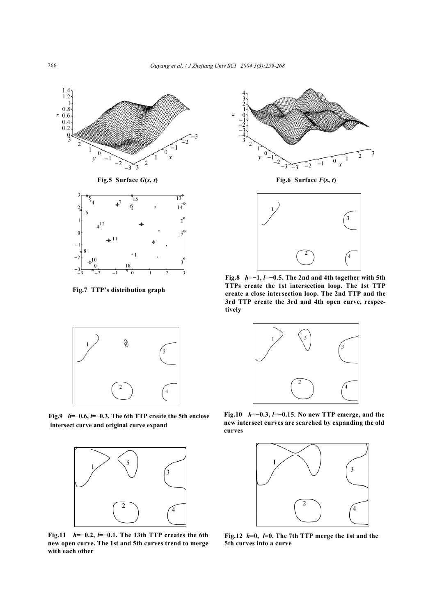

**Fig.7 TTP's distribution graph**



**Fig.9** *h***=−0.6,** *l***=−0.3. The 6th TTP create the 5th enclose intersect curve and original curve expand**



**Fig.11**  $h = -0.2$ ,  $l = -0.1$ . The 13th TTP creates the 6th **new open curve. The 1st and 5th curves trend to merge with each other**



**Fig.8** *h***=−1,** *l***=−0.5. The 2nd and 4th together with 5th TTPs create the 1st intersection loop. The 1st TTP create a close intersection loop. The 2nd TTP and the 3rd TTP create the 3rd and 4th open curve, respectively**



**Fig.10** *h***=−0.3,** *l***=−0.15. No new TTP emerge, and the new intersect curves are searched by expanding the old curves**



**Fig.12** *h***=0,** *l***=0. The 7th TTP merge the 1st and the 5th curves into a curve**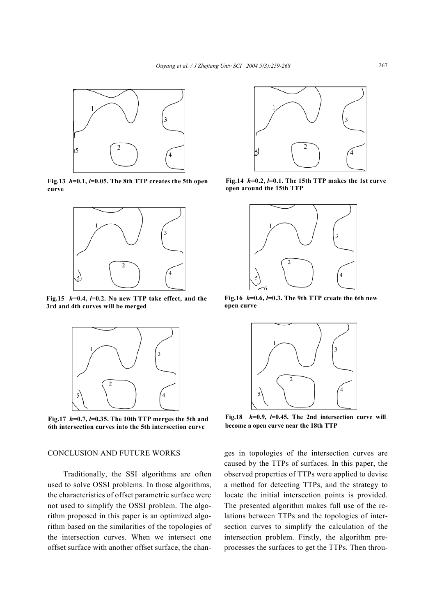

**Fig.13** *h***=0.1,** *l***=0.05. The 8th TTP creates the 5th open curve**



**Fig.15** *h***=0.4,** *l***=0.2. No new TTP take effect, and the 3rd and 4th curves will be merged**



**Fig.17** *h***=0.7,** *l***=0.35. The 10th TTP merges the 5th and 6th intersection curves into the 5th intersection curve**

#### CONCLUSION AND FUTURE WORKS

Traditionally, the SSI algorithms are often used to solve OSSI problems. In those algorithms, the characteristics of offset parametric surface were not used to simplify the OSSI problem. The algorithm proposed in this paper is an optimized algorithm based on the similarities of the topologies of the intersection curves. When we intersect one offset surface with another offset surface, the chan-



**Fig.14** *h***=0.2,** *l***=0.1. The 15th TTP makes the 1st curve open around the 15th TTP**



**Fig.16** *h***=0.6,** *l***=0.3. The 9th TTP create the 6th new open curve**



**Fig.18** *h***=0.9,** *l***=0.45. The 2nd intersection curve will become a open curve near the 18th TTP**

ges in topologies of the intersection curves are caused by the TTPs of surfaces. In this paper, the observed properties of TTPs were applied to devise a method for detecting TTPs, and the strategy to locate the initial intersection points is provided. The presented algorithm makes full use of the relations between TTPs and the topologies of intersection curves to simplify the calculation of the intersection problem. Firstly, the algorithm preprocesses the surfaces to get the TTPs. Then throu